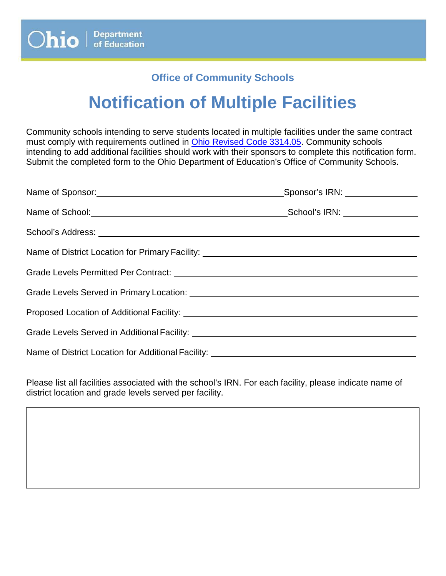## **Office of Community Schools**

## **Notification of Multiple Facilities**

Community schools intending to serve students located in multiple facilities under the same contract must comply with requirements outlined in [Ohio Revised Code 3314.05.](http://codes.ohio.gov/orc/3314.05v1) Community schools intending to add additional facilities should work with their sponsors to complete this notification form. Submit the completed form to the Ohio Department of Education's Office of Community Schools.

| _Sponsor's IRN: _______________ |
|---------------------------------|
|                                 |
|                                 |
|                                 |
|                                 |
|                                 |
|                                 |
|                                 |
|                                 |

Please list all facilities associated with the school's IRN. For each facility, please indicate name of district location and grade levels served per facility.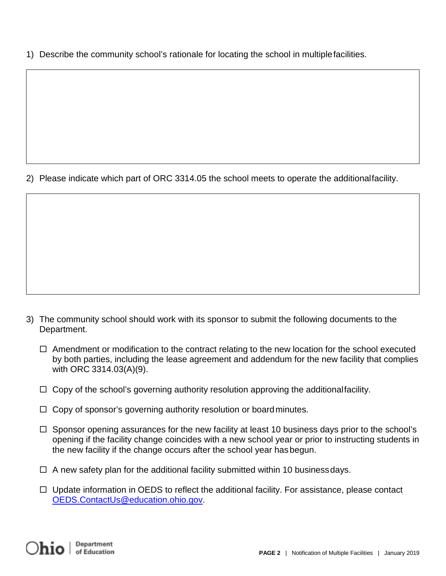1) Describe the community school's rationale for locating the school in multiplefacilities.

2) Please indicate which part of ORC 3314.05 the school meets to operate the additionalfacility.

- 3) The community school should work with its sponsor to submit the following documents to the Department.
	- $\Box$  Amendment or modification to the contract relating to the new location for the school executed by both parties, including the lease agreement and addendum for the new facility that complies with ORC 3314.03(A)(9).
	- $\Box$  Copy of the school's governing authority resolution approving the additionalfacility.
	- $\Box$  Copy of sponsor's governing authority resolution or board minutes.
	- $\Box$  Sponsor opening assurances for the new facility at least 10 business days prior to the school's opening if the facility change coincides with a new school year or prior to instructing students in the new facility if the change occurs after the school year hasbegun.
	- $\Box$  A new safety plan for the additional facility submitted within 10 businessdays.
	- $\Box$  Upda[t](mailto:OEDS.ContactUs@education.ohio.gov)e information in OEDS to reflect the additional facility. For assistance, please contact [OEDS.ContactUs@education.ohio.gov.](mailto:OEDS.ContactUs@education.ohio.gov)